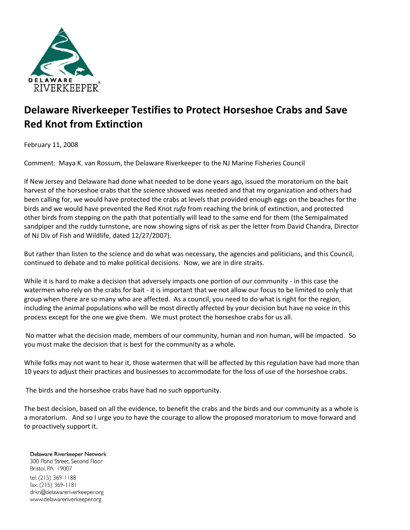

## **Delaware Riverkeeper Testifies to Protect Horseshoe Crabs and Save Red Knot from Extinction**

February 11, 2008

Comment: Maya K. van Rossum, the Delaware Riverkeeper to the NJ Marine Fisheries Council

If New Jersey and Delaware had done what needed to be done years ago, issued the moratorium on the bait harvest of the horseshoe crabs that the science showed was needed and that my organization and others had been calling for, we would have protected the crabs at levels that provided enough eggs on the beaches for the birds and we would have prevented the Red Knot *rufa* from reaching the brink of extinction, and protected other birds from stepping on the path that potentially will lead to the same end for them (the Semipalmated sandpiper and the ruddy turnstone, are now showing signs of risk as per the letter from David Chandra, Director of NJ Div of Fish and Wildlife, dated 12/27/2007).

But rather than listen to the science and do what was necessary, the agencies and politicians, and this Council, continued to debate and to make political decisions. Now, we are in dire straits.

While it is hard to make a decision that adversely impacts one portion of our community - in this case the watermen who rely on the crabs for bait - it is important that we not allow our focus to be limited to only that group when there are so many who are affected. As a council, you need to do what is right for the region, including the animal populations who will be most directly affected by your decision but have no voice in this process except for the one we give them. We must protect the horseshoe crabs for us all.

No matter what the decision made, members of our community, human and non human, will be impacted. So you must make the decision that is best for the community as a whole.

While folks may not want to hear it, those watermen that will be affected by this regulation have had more than 10 years to adjust their practices and businesses to accommodate for the loss of use of the horseshoe crabs.

The birds and the horseshoe crabs have had no such opportunity.

The best decision, based on all the evidence, to benefit the crabs and the birds and our community as a whole is a moratorium. And so I urge you to have the courage to allow the proposed moratorium to move forward and to proactively support it.

## Delaware Riverkeeper Network

300 Pond Street, Second Floor Bristol, PA 19007 tel: (215) 369-1188 fax: (215) 369-1181 drkn@delawareriverkeeper.org www.delawareriverkeeper.org